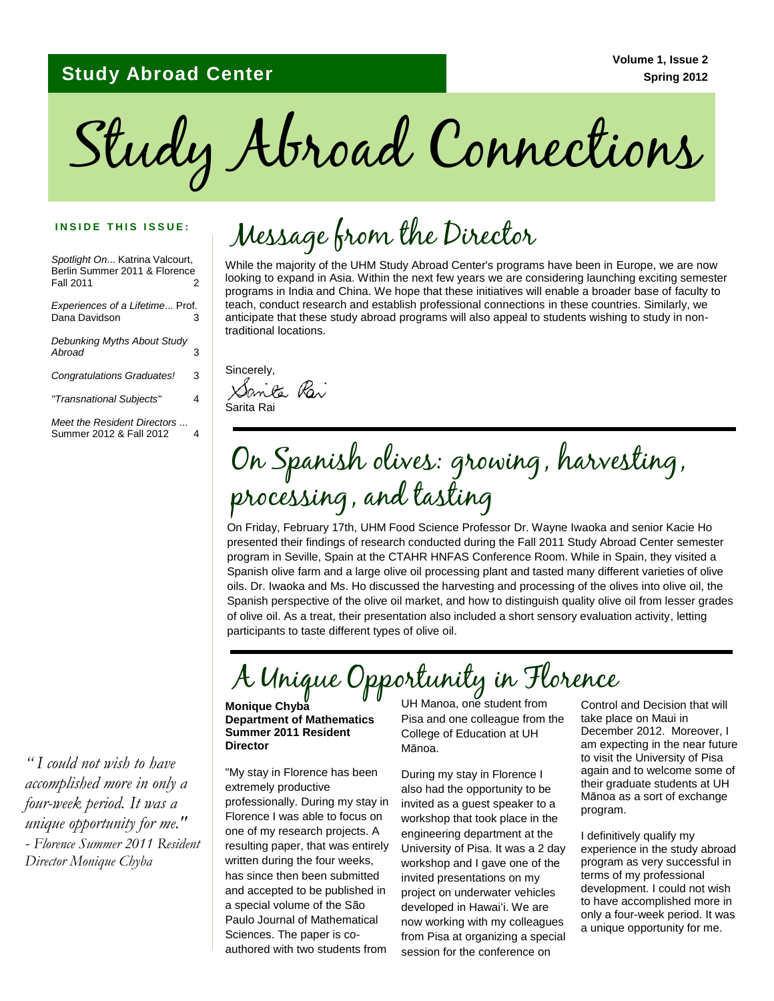### **Study Abroad Center**

Study Abroad Connections

#### **INSIDE THIS ISSUE:**

*Spotlight On*... Katrina Valcourt, Berlin Summer 2011 & Florence **Fall 2011** 

*Experiences of a Lifetime*... Prof. Dana Davidson 3

| Debunking Myths About Study<br>Abroad | 3 |
|---------------------------------------|---|
| <b>Congratulations Graduates!</b>     | 3 |
| "Transnational Subjects"              |   |

*Meet the Resident Directors* ... Summer 2012 & Fall 2012 4

*" I could not wish to have accomplished more in only a four-week period. It was a unique opportunity for me." - Florence Summer 2011 Resident Director Monique Chyba*

## Message from the Director

While the majority of the UHM Study Abroad Center's programs have been in Europe, we are now looking to expand in Asia. Within the next few years we are considering launching exciting semester programs in India and China. We hope that these initiatives will enable a broader base of faculty to teach, conduct research and establish professional connections in these countries. Similarly, we anticipate that these study abroad programs will also appeal to students wishing to study in nontraditional locations.

Sincerely, Santa Rai Sarita Rai

## On Spanish olives: growing, harvesting, processing, and tasting

On Friday, February 17th, UHM Food Science Professor Dr. Wayne Iwaoka and senior Kacie Ho presented their findings of research conducted during the Fall 2011 Study Abroad Center semester program in Seville, Spain at the CTAHR HNFAS Conference Room. While in Spain, they visited a Spanish olive farm and a large olive oil processing plant and tasted many different varieties of olive oils. Dr. Iwaoka and Ms. Ho discussed the harvesting and processing of the olives into olive oil, the Spanish perspective of the olive oil market, and how to distinguish quality olive oil from lesser grades of olive oil. As a treat, their presentation also included a short sensory evaluation activity, letting participants to taste different types of olive oil.

# A Unique Opportunity in Florence

**Monique Chyba Department of Mathematics Summer 2011 Resident Director**

"My stay in Florence has been extremely productive professionally. During my stay in Florence I was able to focus on one of my research projects. A resulting paper, that was entirely written during the four weeks, has since then been submitted and accepted to be published in a special volume of the São Paulo Journal of Mathematical Sciences. The paper is coauthored with two students from

UH Manoa, one student from Pisa and one colleague from the College of Education at UH Mānoa.

During my stay in Florence I also had the opportunity to be invited as a guest speaker to a workshop that took place in the engineering department at the University of Pisa. It was a 2 day workshop and I gave one of the invited presentations on my project on underwater vehicles developed in Hawaiʻi. We are now working with my colleagues from Pisa at organizing a special session for the conference on

Control and Decision that will take place on Maui in December 2012. Moreover, I am expecting in the near future to visit the University of Pisa again and to welcome some of their graduate students at UH Mānoa as a sort of exchange program.

I definitively qualify my experience in the study abroad program as very successful in terms of my professional development. I could not wish to have accomplished more in only a four-week period. It was a unique opportunity for me.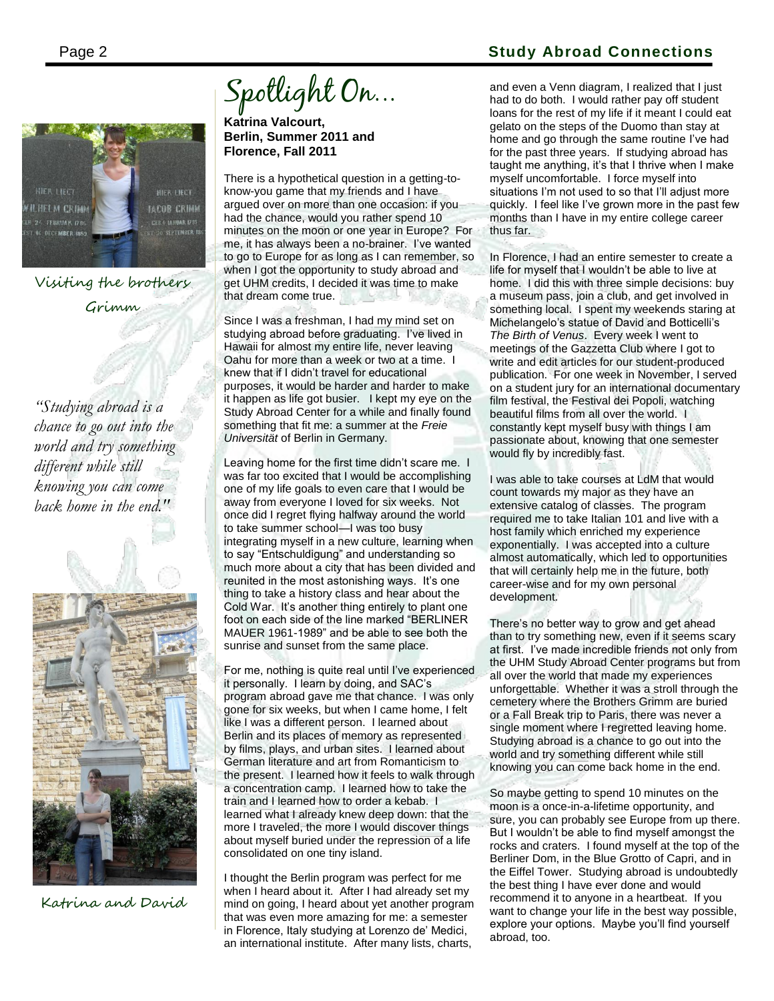

Visiting the brothers Grimm

*"Studying abroad is a chance to go out into the world and try something different while still knowing you can come back home in the end."*



Katrina and David

Spotlight On...

**Katrina Valcourt, Berlin, Summer 2011 and Florence, Fall 2011**

There is a hypothetical question in a getting-toknow-you game that my friends and I have argued over on more than one occasion: if you had the chance, would you rather spend 10 minutes on the moon or one year in Europe? For me, it has always been a no-brainer. I"ve wanted to go to Europe for as long as I can remember, so when I got the opportunity to study abroad and get UHM credits, I decided it was time to make that dream come true.

Since I was a freshman, I had my mind set on studying abroad before graduating. I've lived in Hawaii for almost my entire life, never leaving Oahu for more than a week or two at a time. I knew that if I didn"t travel for educational purposes, it would be harder and harder to make it happen as life got busier. I kept my eye on the Study Abroad Center for a while and finally found something that fit me: a summer at the *Freie Universität* of Berlin in Germany.

Leaving home for the first time didn"t scare me. I was far too excited that I would be accomplishing one of my life goals to even care that I would be away from everyone I loved for six weeks. Not once did I regret flying halfway around the world to take summer school—I was too busy integrating myself in a new culture, learning when to say "Entschuldigung" and understanding so much more about a city that has been divided and reunited in the most astonishing ways. It's one thing to take a history class and hear about the Cold War. It's another thing entirely to plant one foot on each side of the line marked "BERLINER MAUER 1961-1989" and be able to see both the sunrise and sunset from the same place.

For me, nothing is quite real until I've experienced it personally. I learn by doing, and SAC"s program abroad gave me that chance. I was only gone for six weeks, but when I came home, I felt like I was a different person. I learned about Berlin and its places of memory as represented by films, plays, and urban sites. I learned about German literature and art from Romanticism to the present. I learned how it feels to walk through a concentration camp. I learned how to take the train and I learned how to order a kebab. I learned what I already knew deep down: that the more I traveled, the more I would discover things about myself buried under the repression of a life consolidated on one tiny island.

I thought the Berlin program was perfect for me when I heard about it. After I had already set my mind on going, I heard about yet another program that was even more amazing for me: a semester in Florence, Italy studying at Lorenzo de" Medici, an international institute. After many lists, charts,

### Page 2 **Study Abroad Connections**

and even a Venn diagram, I realized that I just had to do both. I would rather pay off student loans for the rest of my life if it meant I could eat gelato on the steps of the Duomo than stay at home and go through the same routine I've had for the past three years. If studying abroad has taught me anything, it"s that I thrive when I make myself uncomfortable. I force myself into situations I'm not used to so that I'll adjust more quickly. I feel like I"ve grown more in the past few months than I have in my entire college career thus far.

In Florence, I had an entire semester to create a life for myself that I wouldn"t be able to live at home. I did this with three simple decisions: buy a museum pass, join a club, and get involved in something local. I spent my weekends staring at Michelangelo"s statue of David and Botticelli"s *The Birth of Venus*. Every week I went to meetings of the Gazzetta Club where I got to write and edit articles for our student-produced publication. For one week in November, I served on a student jury for an international documentary film festival, the Festival dei Popoli, watching beautiful films from all over the world. I constantly kept myself busy with things I am passionate about, knowing that one semester would fly by incredibly fast.

I was able to take courses at LdM that would count towards my major as they have an extensive catalog of classes. The program required me to take Italian 101 and live with a host family which enriched my experience exponentially. I was accepted into a culture almost automatically, which led to opportunities that will certainly help me in the future, both career-wise and for my own personal development.

There"s no better way to grow and get ahead than to try something new, even if it seems scary at first. I"ve made incredible friends not only from the UHM Study Abroad Center programs but from all over the world that made my experiences unforgettable. Whether it was a stroll through the cemetery where the Brothers Grimm are buried or a Fall Break trip to Paris, there was never a single moment where I regretted leaving home. Studying abroad is a chance to go out into the world and try something different while still knowing you can come back home in the end.

So maybe getting to spend 10 minutes on the moon is a once-in-a-lifetime opportunity, and sure, you can probably see Europe from up there. But I wouldn"t be able to find myself amongst the rocks and craters. I found myself at the top of the Berliner Dom, in the Blue Grotto of Capri, and in the Eiffel Tower. Studying abroad is undoubtedly the best thing I have ever done and would recommend it to anyone in a heartbeat. If you want to change your life in the best way possible, explore your options. Maybe you"ll find yourself abroad, too.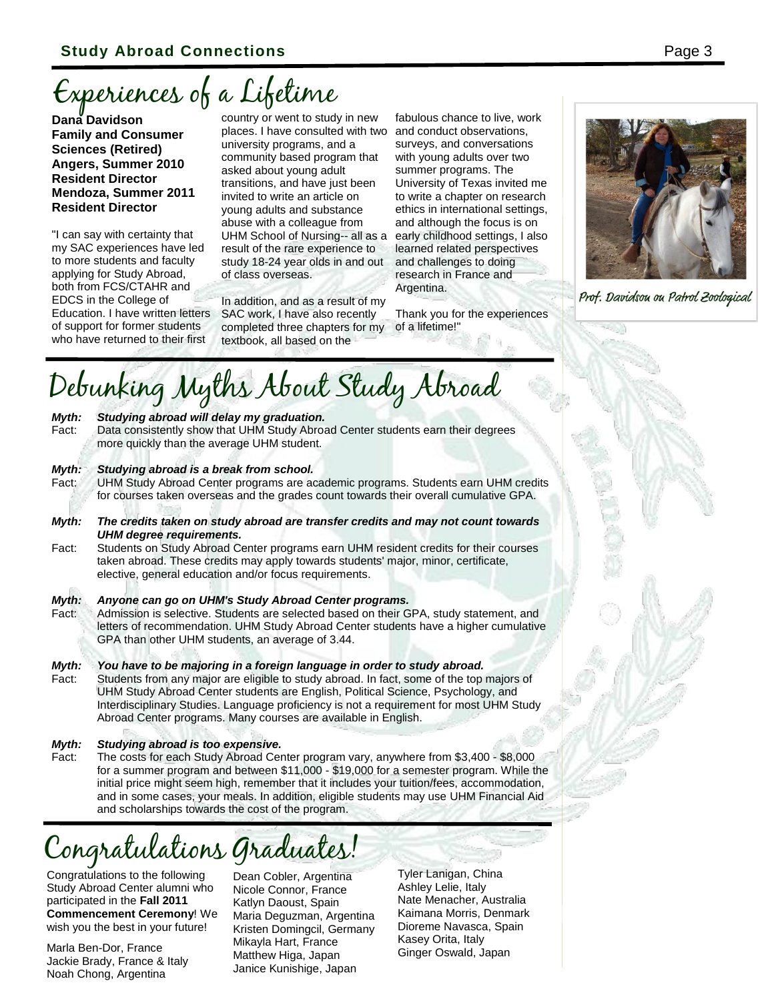# Experiences of a Lifetime

**Dana Davidson Family and Consumer Sciences (Retired) Angers, Summer 2010 Resident Director Mendoza, Summer 2011 Resident Director**

"I can say with certainty that my SAC experiences have led to more students and faculty applying for Study Abroad, both from FCS/CTAHR and EDCS in the College of Education. I have written letters of support for former students who have returned to their first

country or went to study in new places. I have consulted with two university programs, and a community based program that asked about young adult transitions, and have just been invited to write an article on young adults and substance abuse with a colleague from UHM School of Nursing-- all as a result of the rare experience to study 18-24 year olds in and out of class overseas.

In addition, and as a result of my SAC work, I have also recently completed three chapters for my textbook, all based on the

fabulous chance to live, work and conduct observations, surveys, and conversations with young adults over two summer programs. The University of Texas invited me to write a chapter on research ethics in international settings, and although the focus is on early childhood settings, I also learned related perspectives and challenges to doing research in France and Argentina.

Thank you for the experiences of a lifetime!"



Prof. Davidsou ou Patrol Zoological

# Debunking Myths About Study Abroad

#### *Myth: Studying abroad will delay my graduation.*

Fact: Data consistently show that UHM Study Abroad Center students earn their degrees more quickly than the average UHM student.

#### *Myth: Studying abroad is a break from school.*

Fact: UHM Study Abroad Center programs are academic programs. Students earn UHM credits for courses taken overseas and the grades count towards their overall cumulative GPA.

*Myth: The credits taken on study abroad are transfer credits and may not count towards UHM degree requirements.* 

Fact: Students on Study Abroad Center programs earn UHM resident credits for their courses taken abroad. These credits may apply towards students' major, minor, certificate, elective, general education and/or focus requirements.

#### *Myth: Anyone can go on UHM's Study Abroad Center programs.*

Fact: Admission is selective. Students are selected based on their GPA, study statement, and letters of recommendation. UHM Study Abroad Center students have a higher cumulative GPA than other UHM students, an average of 3.44.

*Myth: You have to be majoring in a foreign language in order to study abroad.* Fact: Students from any major are eligible to study abroad. In fact, some of the top majors of UHM Study Abroad Center students are English, Political Science, Psychology, and Interdisciplinary Studies. Language proficiency is not a requirement for most UHM Study Abroad Center programs. Many courses are available in English.

### *Myth: Studying abroad is too expensive.*

Fact: The costs for each Study Abroad Center program vary, anywhere from \$3,400 - \$8,000 for a summer program and between \$11,000 - \$19,000 for a semester program. While the initial price might seem high, remember that it includes your tuition/fees, accommodation, and in some cases, your meals. In addition, eligible students may use UHM Financial Aid and scholarships towards the cost of the program.

## Congratulations Graduates!

Congratulations to the following Study Abroad Center alumni who participated in the **Fall 2011 Commencement Ceremony**! We wish you the best in your future!

Marla Ben-Dor, France Jackie Brady, France & Italy Noah Chong, Argentina

Dean Cobler, Argentina Nicole Connor, France Katlyn Daoust, Spain Maria Deguzman, Argentina Kristen Domingcil, Germany Mikayla Hart, France Matthew Higa, Japan Janice Kunishige, Japan

Tyler Lanigan, China Ashley Lelie, Italy Nate Menacher, Australia Kaimana Morris, Denmark Dioreme Navasca, Spain Kasey Orita, Italy Ginger Oswald, Japan